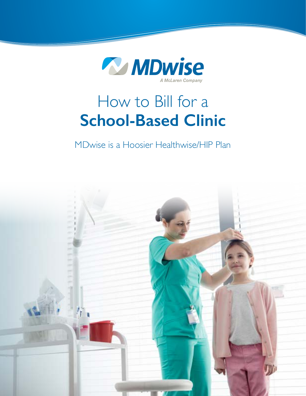

# How to Bill for a **School-Based Clinic**

MDwise is a Hoosier Healthwise/HIP Plan

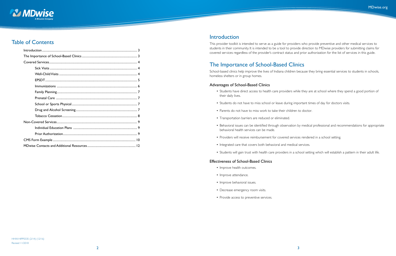

### Table of Contents

### Introduction

This provider toolkit is intended to serve as a guide for providers who provide preventive and other medical services to students in their community. It is intended to be a tool to provide direction to MDwise providers for submitting claims for covered services regardless of the provider's contract status and prior authorization for the list of services in this guide.

### The Importance of School-Based Clinics

School-based clinics help improve the lives of Indiana children because they bring essential services to students in schools, homeless shelters or in group homes.

#### Advantages of School-Based Clinics

• Students have direct access to health care providers while they are at school where they spend a good portion of

- their daily lives.
- Students do not have to miss school or leave during important times of day for doctors visits.
- Parents do not have to miss work to take their children to doctor.
- Transportation barriers are reduced or eliminated.
- behavioral health services can be made.
- Providers will receive reimbursement for covered services rendered in a school setting.
- Integrated care that covers both behavioral and medical services.
- 

• Behavioral issues can be identified through observation by medical professional and recommendations for appropriate

• Students will gain trust with health care providers in a school setting which will establish a pattern in their adult life.

#### Effectiveness of School-Based Clinics

- Improve health outcomes.
- Improve attendance.
- Improve behavioral issues.
- Decrease emergency room visits.
- Provide access to preventive services.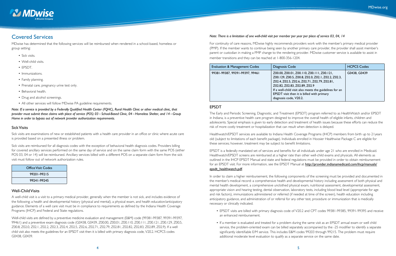<span id="page-2-0"></span>

### Covered Services

MDwise has determined that the following services will be reimbursed when rendered in a school-based, homeless or group setting:

- Sick visits.
- Well-child visits.
- EPSDT.
- Immunizations.
- Family planning.
- Prenatal care, pregnancy urine test only.
- Behavioral health.
- Drug and alcohol screenings.
- All other services will follow MDwise PA guideline requirements.

*Note: If a service is provided by a Federally Qualified Health Center (FQHC), Rural Health Clinic or other medical clinic, that provider must submit these claims with place of service (POS) 03 – School-Based Clinic, 04 –Homeless Shelter, and 14 – Group Home in order to bypass out of network provider authorization requirements.*

#### Sick Visits

Sick visits are examinations of new or established patients with a health care provider in an office or clinic where acute care is provided based on a presented illness or problem.

Sick visits are reimbursed for all diagnosis codes with the exception of behavioral health diagnosis codes. Providers billing for covered ancillary services performed on the same day of service and on the same claim form with the same POS (either POS 03, 04 or 14) will be reimbursed. Ancillary services billed with a different POS on a separate claim form from the sick visit must follow out of network authorization rules.

| Office Visit Codes |
|--------------------|
| 99201-99215        |
| 99241-99245        |

#### Well-Child Visits

A well-child visit is a visit to a primary medical provider, generally when the member is not sick, and includes evidence of the following; a health and developmental history (physical and mental), a physical exam, and health education/anticipatory guidance. Elements of a well care visit must be in compliance to requirements as defined by the Indiana Health Coverage Programs (IHCP) and Federal and State regulations.

EPSDT is a federally mandated set of services and benefits for all individuals under age 21 who are enrolled in Medicaid. Healthwatch/EPSDT screens are reimbursed at a higher rate than other well-child exams and physicals. All elements as outlined in the IHCP EPSDT Manual and state and federal regulations must be provided in order to obtain reimbursement for an EPSDT visit. For more information, see the EPSDT Manual at http://provider.indianamedicaid.com/ihcp/manuals/ epsdt\_healthwatch.pdf.

Well-child visits are defined by a preventive medicine evaluation and management (E&M) code (99381-99387, 99391-99397, 99461) and a preventive exam diagnosis code (G0438, G0439, Z00.00, Z00.01, Z00.110, Z00.111, Z00.121, Z00.129, Z00.5, Z00.8, Z02.0, Z02.1, Z02.2, Z02.3, Z02.4, Z02.5, Z02.6, Z02.71, Z02.79, Z02.81, Z02.82, Z02.83, Z02.89, Z02.9). If a well child visit also meets the guidelines for an EPSDT visit then it is billed with primary diagnosis code, V20.2. HCPCS codes G0438, G0439.

#### *Note: There is a limitation of one well-child visit per member per year per place of service 03, 04, 14*

For continuity of care reasons, MDwise highly recommends providers work with the member's primary medical provider (PMP). If the member wants to continue being seen by another primary care provider, the provider shall assist member's parent or custodian in making a PMP change to the rendering provider. MDwise customer service is available to assist in member transitions and they can be reached at 1-800-356-1204.

| <b>Evaluation &amp; Management Codes</b> | Diagnosis Code                                                                                                                                                                                                                                                                                                      | <b>HCPCS Codes</b> |
|------------------------------------------|---------------------------------------------------------------------------------------------------------------------------------------------------------------------------------------------------------------------------------------------------------------------------------------------------------------------|--------------------|
| 99381-99387, 99391-99397, 99461          | Z00.00, Z00.01, Z00.110, Z00.111, Z00.121,<br>Z00.129, Z00.5, Z00.8, Z02.0, Z02.1, Z02.2, Z02.3,<br>Z02.4, Z02.5, Z02.6, Z02.71, Z02.79, Z02.81,<br>Z02.82, Z02.83, Z02.89, Z02.9<br>If a well-child visit also meets the guidelines for an<br>EPSDT visit then it is billed with primary<br>diagnosis code, V20.2. | G0438, G0439       |

#### EPSDT

The Early and Periodic Screening, Diagnostic, and Treatment (EPSDT) program referred to as HealthWatch and/or EPSDT in Indiana, is a preventive health care program designed to improve the overall health of eligible infants, children and adolescents. Special emphasis is given to early detection and treatment of health issues because these efforts can reduce the risk of more costly treatment or hospitalization that can result when detection is delayed.

Healthwatch/EPSDT services are available to Indiana Health Coverage Programs (IHCP) members from birth up to 21years old (subject to limitations of each benefit package). Individuals enrolled in Hoosier Healthwise Package C are eligible for these services; however, treatment may be subject to benefit limitations.

In order to claim a higher reimbursement, the following components of the screening must be provided and documented in the member's medical record: a comprehensive health and developmental history including assessment of both physical and mental health development, a comprehensive unclothed physical exam, nutritional assessment, developmental assessment, appropriate vision and hearing testing, dental observation, laboratory tests, including blood lead level (appropriate for age and risk factors), immunizations administered or referred (if needed at time of the screen), health education including anticipatory guidance, and administration of or referral for any other test, procedure or immunization that is medically necessary or clinically indicated.

• EPSDT visits are billed with primary diagnosis code of V20.2 and CPT codes 99381-99385, 99391-99395 and receive

• If a member is evaluated and treated for a problem during the same visit as an EPSDT annual exam or well child service, the problem-oriented exam can be billed separately accompanied by the -25 modifier to identify a separate significantly identifiable E/M service. This includes E&M codes 99203 through 99215. The problem must require

- an enhanced reimbursement.
- additional moderate level evaluation to qualify as a separate service on the same date.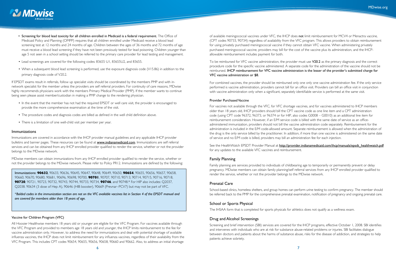# See the HealthWatch EPSDT Provider Manual at [http://provider.indianamedicaid.com/ihcp/manuals/epsdt\\_healthwatch.pdf](http://provider.indianamedicaid.com/ihcp/manuals/epsdt_healthwatch.pdf)

<span id="page-3-0"></span>

- Screening for blood lead toxicity for all children enrolled in Medicaid is a federal requirement. The Office of Medicaid Policy and Planning (OMPP) requires that all children enrolled under Medicaid receive a blood lead screening test at 12 months and 24 months of age. Children between the ages of 36 months and 72 months of age must receive a blood lead screening if they have not been previously tested for lead poisoning. Children younger than age 5 not seen in a school setting should be referred to the primary care provider for lead testing and management.
- Lead screenings are covered for the following codes: 83655 U1, 83655U2, and 83655.
- When a subsequent blood lead screening is performed, use the exposure diagnosis code (V15.86) in addition to the primary diagnosis code of V20.2.

If EPSDT exams result in referrals, follow up specialist visits should be coordinated by the members PMP and with innetwork specialist for the member unless the providers are self referral providers. For continuity of care reasons, MDwise highly recommends physicians work with the members Primary Medical Provider (PMP). If the member wants to continue being seen please assist member/custodian in making a PMP change to the rendering physician.

- In the event that the member has not had the required EPSDT or well care visit, the provider is encouraged to provide the more comprehensive examination at the time of the visit.
- The procedure codes and diagnosis codes are billed as defined in the well child definition above.
- There is a limitation of one well-child visit per member per year.

#### **Immunizations**

Immunizations are covered in accordance with the IHCP provider manual guidelines and any applicable IHCP provider bulletins and banner pages. These resources can be found at **[www.indianamedicaid.com](http://www.indianamedicaid.com)**. Immunizations are self referral services and can be obtained from any IHCP enrolled provider qualified to render the service, whether or not the provider belongs to the MDwise network.

MDwise members can obtain immunizations from any IHCP enrolled provider qualified to render the service, whether or not the provider belongs to the MDwise network. Please refer to Policy PR12. Immunizations are defined by the following: To be reimbursed for VFC vaccine administration, the provider must use V20.2 as the primary diagnosis and the correct procedure code for the specific vaccine administered. A separate code for the administration of the vaccine should not be reimbursed. IHCP reimbursement for VFC vaccine administration is the lesser of the provider's submitted charge for VFC vaccine administration or \$8.

Immunizations: **90632**, 90633, 90636, 90645, 90647, 90648, 90649, 90650, **90654**, 90655, 90656, 90657, 90658, 90660, 90670, 90680, 90681, 90696, 90698, 90700, **90701**, 90707, 90710, 90713, 90714, 90715, 90716, 90718, **90720**, 90721, 90723, 90732, 90743, 90744, 90733, 90734, **90746**, and 90748.\* For HIP also includes: Q2037, Q2038. 90634 (3 dose of Hep A), 90646 (HIB booster), 90669 (Prevnar–PCV7) but may not be part of VFC.

\**Bolded codes in the immunization section are not on the VFC available vaccines list in Section 4 of the EPSDT manual and are covered for members older than 18 years of age.*

#### Vaccine for Children Program (VFC)

All Hoosier Healthwise members 18 years old or younger are eligible for the VFC Program. For vaccines available through the VFC Program and provided to members age 18 years old and younger, the IHCP limits reimbursement to the fee for vaccine administration only. However, to address the need for immunizations and deal with potential shortage of available influenza vaccines, the IHCP does not limit reimbursement for any influenza vaccines, regardless of their availability from the VFC Program. This includes CPT codes 90654, 90655, 90656, 90658, 90660 and 90662. Also, to address an initial shortage

of available meningococcal vaccines under VFC, the IHCP does not limit reimbursement for MCV4 or Menactra vaccine, (CPT codes 90733, 90734) regardless of availability from the VFC program. This allows providers to obtain reimbursement for using privately purchased meningococcal vaccine if they cannot obtain VFC vaccine. When administering privately purchased meningococcal vaccine, providers may bill for the cost of the vaccine plus its administration, and the IHCPallowable reimbursement includes payment for both.

For combined vaccines, the provider should be reimbursed only one only one vaccine administration fee. If the only service performed is vaccine administration, providers cannot bill for an office visit. Providers can bill an office visit in conjunction with vaccine administration only when a significant, separately identifiable service is performed at the same visit.

#### Provider Purchased Vaccine

For vaccines not available through the VFC, for VFC shortage vaccines, and for vaccines administered to IHCP members older than 18 years old, IHCP providers should bill the CPT vaccine code as one line item and a CPT administration code (using CPT code 96372, 96373, or 96374 or for HIP, also codes G0008 – G0010) as an additional line item for reimbursement consideration. However, if an E/M service code is billed with the same date of service as an officeadministered immunization, providers should not bill the vaccine administration code separately. Reimbursement for the administration is included in the E/M code-allowed amount. Separate reimbursement is allowed when the administration of the drug is the only service billed by the practitioner. In addition, if more than one vaccine is administered on the same date of service and no E/M code is billed, providers may bill an administration fee for each injection.

for any updates to the available VFC vaccines and reimbursement.

#### Family Planning

Family planning are services provided to individuals of childbearing age to temporarily or permanently prevent or delay pregnancy. MDwise members can obtain family planning/self referral services from any IHCP enrolled provider qualified to render the service, whether or not the provider belongs to the MDwise network.

#### Prenatal Care

School-based clinics, homeless shelters, and group homes can perform urine testing to confirm pregnancy. The member should be referred back to the PMP for the comprehensive prenatal examination, notification of pregnancy and ongoing prenatal care.

#### School or Sports Physical

The IHSAA form that is completed for sports physicals for athletics does not qualify as a wellness exam.

#### Drug and Alcohol Screenings

Screening and brief intervention (SBI) services are covered for the IHCP programs, effective October 1, 2008. SBI identifies and intervenes with individuals who are at risk for substance abuse-related problems or injuries. SBI facilitates dialogue between doctors and patients about the harms of substance abuse, risks for the disease of addiction, and strategies to help patients achieve sobriety.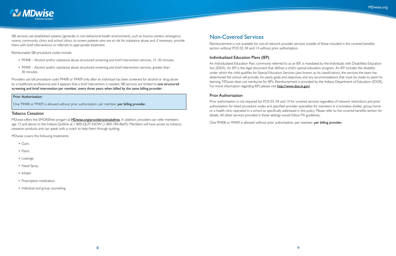<span id="page-4-0"></span>

SBI services use established systems (generally in non-behavioral health environment), such as trauma centers, emergency rooms, community clinics and school clinics, to screen patients who are at risk for substance abuse and, if necessary, provide them with brief interventions or referrals to appropriate treatment.

Reimbursable SBI procedure codes include:

- 99408 Alcohol and/or substance abuse structured screening and brief intervention services, 15–30 minutes.
- 99409 Alcohol and/or substance abuse structured screening and brief intervention services, greater than 30 minutes.

MDwise offers the SMOKEfree progam at **[MDwise.org/providers/smokefree](http://MDwise.org/providers/smokefree)**. In addition, providers can refer members age 13 and above to the Indiana Quitline at 1-800-QUIT-NOW (1-800-784-8669). Members will have access to tobacco cessation products and can speak with a coach to help them through quitting.

Providers can bill procedure code 99408 or 99409 only after an individual has been screened for alcohol or drug abuse by a healthcare professional and it appears that a brief intervention is needed. SBI services are limited to one structured screening and brief intervention per member, every three years when billed by the same billing provider.

An Individualized Education Plan, commonly referred to as an IEP, is mandated by the Individuals with Disabilities Education Act (IDEA). An IEP is the legal document that defines a child's special education program. An IEP includes the disability under which the child qualifies for Special Education Services (also known as his classification), the services the team has determined the school will provide, his yearly goals and objectives and any accommodations that must be made to assist his learning. MDwise does not reimburse for IEPs. Reimbursement is provided by the Indiana Department of Education (IDOE). For more information regarding IEPs please visit **<http://www.doe.in.gov/>**.

#### Prior Authorization:

One 99408 or 99409 is allowed without prior authorization, per member, per billing provider.

#### Tobacco Cessation

MDwise covers the following treatments:

- $\cdot$  Gum.
- Patch.
- Lozenge.
- Nasal Spray.
- Inhaler.
- Prescription medication.
- Individual and group counseling.

### Non-Covered Services

Reimbursement is not available for out-of-network provider services outside of those included in the covered benefits section without POS 03, 04 and 14 without prior authorization.

#### Individualized Education Plans (IEP)

#### Prior Authorization

Prior authorization is not required for POS 03, 04 and 14 for covered services regardless of network restrictions and prior authorization for listed procedure codes and specified provider specialties for members in a homeless shelter, group home or a health clinic operated in a school as specifically addressed in this policy. Please refer to the covered benefits section for details. All other services provided in these settings would follow PA guidelines.

One 99408 or 99409 is allowed without prior authorization, per member, per billing provider.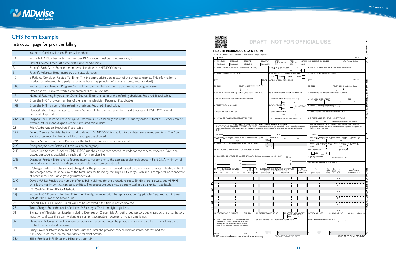<span id="page-5-0"></span>

## CMS Form Example

### Instruction page for provider billing

|                 | Insurance Carrier Selection: Enter X for other.                                                                                                                                                                                                                                                                 |
|-----------------|-----------------------------------------------------------------------------------------------------------------------------------------------------------------------------------------------------------------------------------------------------------------------------------------------------------------|
| IA              | Insured's I.D. Number: Enter the member RID number must be 12 numeric digits.                                                                                                                                                                                                                                   |
| 2               | Patient's Name: Enter last name, first name, middle initial.                                                                                                                                                                                                                                                    |
| 3               | Patient's Birth Date: Enter the member's birth date in MM/DD/YY format.                                                                                                                                                                                                                                         |
| 5               | Patient's Address: Street number, city, state, zip code.                                                                                                                                                                                                                                                        |
| $\overline{10}$ | Is Patients Condition Related To: Enter X in the appropriate box in each of the three categories. This information is<br>needed for follow-up third party recovery actions. If applicable (Workman's comp, auto accident)                                                                                       |
| 11C             | Insurance Plan Name or Program Name: Enter the member's insurance plan name or program name.                                                                                                                                                                                                                    |
| 16              | Dates patient unable to work if you entered "Yes" in Box 10A                                                                                                                                                                                                                                                    |
| 17              | Name of Referring Physician or Other Source: Enter the name of the referring physician. Required, if applicable.                                                                                                                                                                                                |
| 17A             | Enter the IHCP provider number of the referring physician. Required, if applicable.                                                                                                                                                                                                                             |
| 17B             | Enter the NPI number of the referring physician. Required, if applicable.                                                                                                                                                                                                                                       |
| 8               | Hospitalization Dates Related to Current Services: Enter the requested from and to dates in MM/DD/YY format.<br>Required, if applicable.                                                                                                                                                                        |
| $2IA-2IL$       | Diagnosis or Nature of Illness or Injury: Enter the ICD-9 CM diagnosis codes in priority order. A total of 12 codes can be<br>entered. At least one diagnosis code is required for all claims.                                                                                                                  |
| 23              | Prior Authorization: Required, if applicable.                                                                                                                                                                                                                                                                   |
| 24A             | Date of Service: Provide the from and to dates in MM/DD/YY format. Up to six dates are allowed per form. The from                                                                                                                                                                                               |
|                 | and to dates must be the same. No date ranges are allowed.                                                                                                                                                                                                                                                      |
| 24B             | Place of Service: Use the POS code for the facility where services are rendered.                                                                                                                                                                                                                                |
| 24C             | Emergency Service: Enter a Y if this was an emergency.                                                                                                                                                                                                                                                          |
| 24D             | Procedures, Services, Supplies: CPT/HCPCS use the appropriate procedure code for the service rendered. Only one<br>procedure code is provided on each claim form service line.                                                                                                                                  |
| 24E             | Diagnosis Pointer: Enter one to four pointers corresponding to the applicable diagnosis codes in Field 21. A minimum of<br>one and a maximum of four diagnosis code references can be entered.                                                                                                                  |
| 24F             | \$ Charges: Enter the total amount charged for the procedure performed, based on the number of units indicated in field.<br>The charged amount is the sum of the total units multiplied by the single unit charge. Each line is computed independently<br>of other lines. This is an eight digit numeric field. |
| 24G             | Days or Units: Provide the number of units being claimed for the procedure code. Six digits are allowed, and 9999.99<br>units is the maximum that can be submitted. The procedure code may be submitted in partial units, if applicable.                                                                        |
| 241             | I.D. Qualifier: Enter ID for Medicaid.                                                                                                                                                                                                                                                                          |
| 24              | Indiana IHCP Provider Number: Enter the nine-digit number with the alpha location if applicable. Required at this time.<br>Include NPI number on second line.                                                                                                                                                   |
| 25              | Federal Tax I.D. Number: Claims will not be accepted if this field is not completed.                                                                                                                                                                                                                            |
| 28              | Total Charge: Enter the total of column 24F charges. This is an eight-digit field.                                                                                                                                                                                                                              |
| 31              | Signature of Physician or Supplier including Degrees or Credentials: An authorized person, designated by the organization,<br>must sign and date the claim. A signature stamp is acceptable; however, a typed name is not.                                                                                      |
| 32              | Name and Address of Facility where Services are Rendered: Enter the provider's name and address. This allows us to<br>contact the Provider if necessary.                                                                                                                                                        |
| 33              | Billing Provider Information and Phone: Number Enter the provider service location name, address and the<br>ZIP Code+4 as listed on the provider enrollment profile.                                                                                                                                            |
| 33A             | Billing Provider NPI: Enter the billing provider NPI.                                                                                                                                                                                                                                                           |



|                                                                 | HEALTH INSURANCE CLAIM FORM<br>APPROVED BY NATIONAL UNIFORM CLAIM COMMITTEE (NUCC) 02/12                                                                                                                                                             |                                                          |                               |            |                           |                |                                       |                                                    |                                        |                                           |                                                                                                                                                                     |                  |                               |            |                         |                        |
|-----------------------------------------------------------------|------------------------------------------------------------------------------------------------------------------------------------------------------------------------------------------------------------------------------------------------------|----------------------------------------------------------|-------------------------------|------------|---------------------------|----------------|---------------------------------------|----------------------------------------------------|----------------------------------------|-------------------------------------------|---------------------------------------------------------------------------------------------------------------------------------------------------------------------|------------------|-------------------------------|------------|-------------------------|------------------------|
| <b>TPICA</b>                                                    |                                                                                                                                                                                                                                                      |                                                          |                               |            |                           |                |                                       |                                                    |                                        |                                           |                                                                                                                                                                     |                  |                               |            |                         | PICA                   |
| 1. MEDICARE                                                     | <b>MEDICAID</b>                                                                                                                                                                                                                                      |                                                          | TRICARE                       |            | CHAMPVA                   |                | <b>GROUP</b>                          | HEALTH PLAN                                        | FECA<br>BLK LUNG                       | OTHER                                     | 1a. INSURED'S I.D. NUMBER                                                                                                                                           |                  |                               |            | (For Program in Item 1) |                        |
| (Medicare#)                                                     | (Medicaid#)                                                                                                                                                                                                                                          |                                                          | (ID#/DoD#)                    |            | (Member ID#)              |                | (ID#)                                 |                                                    | (ID#)                                  | (1D#)                                     |                                                                                                                                                                     |                  |                               |            |                         |                        |
|                                                                 | 2. PATIENT'S NAME (Last Name, First Name, Middle Initial)                                                                                                                                                                                            |                                                          |                               |            |                           |                |                                       | 3. PATIENT'S BIRTH DATE<br>MM   DD   YY            | M                                      | <b>SEX</b><br>F                           | 4. INSURED'S NAME (Last Name, First Name, Middle Initial)                                                                                                           |                  |                               |            |                         |                        |
|                                                                 | 5. PATIENT'S ADDRESS (No., Street)                                                                                                                                                                                                                   |                                                          |                               |            |                           |                |                                       | 6. PATIENT RELATIONSHIP TO INSURED                 |                                        |                                           | 7. INSURED'S ADDRESS (No., Street)                                                                                                                                  |                  |                               |            |                         |                        |
|                                                                 |                                                                                                                                                                                                                                                      |                                                          |                               |            |                           |                | Self                                  | Spouse                                             | Child                                  | Other                                     |                                                                                                                                                                     |                  |                               |            |                         |                        |
| <b>CITY</b>                                                     |                                                                                                                                                                                                                                                      |                                                          |                               |            | <b>STATE</b>              |                |                                       | 8. RESERVED FOR NUCC USE                           |                                        |                                           | <b>CITY</b>                                                                                                                                                         |                  |                               |            |                         | <b>STATE</b>           |
| ZIP CODE                                                        |                                                                                                                                                                                                                                                      |                                                          | TELEPHONE (Include Area Code) |            |                           |                |                                       |                                                    |                                        |                                           | ZIP CODE                                                                                                                                                            |                  | TELEPHONE (Include Area Code) |            |                         |                        |
| 9. OTHER INSURED'S NAME (Last Name, First Name, Middle Initial) |                                                                                                                                                                                                                                                      |                                                          |                               |            |                           |                |                                       |                                                    | 10. IS PATIENT'S CONDITION RELATED TO: | 11. INSURED'S POLICY GROUP OR FECA NUMBER |                                                                                                                                                                     |                  |                               |            |                         |                        |
|                                                                 |                                                                                                                                                                                                                                                      |                                                          |                               |            |                           |                |                                       |                                                    |                                        |                                           |                                                                                                                                                                     |                  |                               |            |                         |                        |
|                                                                 | a. OTHER INSURED'S POLICY OR GROUP NUMBER                                                                                                                                                                                                            |                                                          |                               |            |                           |                |                                       | a. EMPLOYMENT? (Current or Previous)               |                                        |                                           | a. INSURED'S DATE OF BIRTH<br>$MM$ DD                                                                                                                               | YY               |                               |            | <b>SEX</b>              |                        |
|                                                                 | b. RESERVED FOR NUCC USE                                                                                                                                                                                                                             |                                                          |                               |            |                           |                | <b>b. AUTO ACCIDENT?</b>              | <b>YES</b>                                         |                                        | <b>NO</b>                                 |                                                                                                                                                                     |                  | м                             |            |                         | F                      |
|                                                                 |                                                                                                                                                                                                                                                      |                                                          |                               |            |                           |                |                                       | <b>YES</b>                                         |                                        | PLACE (State)<br>NO                       | b. OTHER CLAIM ID (Designated by NUCC)                                                                                                                              |                  |                               |            |                         |                        |
|                                                                 | c. RESERVED FOR NUCC USE                                                                                                                                                                                                                             |                                                          |                               |            |                           |                | c. OTHER ACCIDENT?                    |                                                    |                                        |                                           | c. INSURANCE PLAN NAME OR PROGRAM NAME                                                                                                                              |                  |                               |            |                         |                        |
|                                                                 |                                                                                                                                                                                                                                                      |                                                          |                               |            |                           |                |                                       | <b>YES</b>                                         |                                        | <b>NO</b>                                 |                                                                                                                                                                     |                  |                               |            |                         |                        |
| d. INSURANCE PLAN NAME OR PROGRAM NAME                          |                                                                                                                                                                                                                                                      |                                                          |                               |            |                           |                | 10d. CLAIM CODES (Designated by NUCC) |                                                    |                                        | d. IS THERE ANOTHER HEALTH BENEFIT PLAN?  |                                                                                                                                                                     |                  |                               |            |                         |                        |
|                                                                 |                                                                                                                                                                                                                                                      |                                                          |                               |            |                           |                | <b>YES</b>                            | <b>NO</b>                                          | If yes, complete items 9, 9a, and 9d.  |                                           |                                                                                                                                                                     |                  |                               |            |                         |                        |
|                                                                 | 12. PATIENT'S OR AUTHORIZED PERSON'S SIGNATURE I authorize the release of any medical or other information necessary<br>to process this claim. I also request payment of government benefits either to myself or to the party who accepts assignment | READ BACK OF FORM BEFORE COMPLETING & SIGNING THIS FORM. |                               |            |                           |                |                                       |                                                    |                                        |                                           | 13. INSURED'S OR AUTHORIZED PERSON'S SIGNATURE I authorize<br>payment of medical benefits to the undersigned physician or supplier for<br>services described below. |                  |                               |            |                         |                        |
| below.<br><b>SIGNED</b>                                         |                                                                                                                                                                                                                                                      |                                                          |                               |            |                           |                | DATE                                  |                                                    |                                        |                                           | <b>SIGNED</b>                                                                                                                                                       |                  |                               |            |                         |                        |
|                                                                 | 14. DATE OF CURRENT ILLNESS, INJURY, or PREGNANCY (LMP)<br>MM   DD   YY                                                                                                                                                                              |                                                          |                               |            |                           | 15. OTHER DATE |                                       |                                                    |                                        |                                           | 16. DATES PATIENT UNABLE TO WORK IN CURRENT OCCUPATION<br>MM   DD   YY MM   DD   YY                                                                                 |                  |                               |            |                         |                        |
|                                                                 |                                                                                                                                                                                                                                                      | QUAL                                                     |                               |            |                           | QUAL.          |                                       | МM                                                 | DD                                     | YY                                        | <b>FROM</b>                                                                                                                                                         |                  | <b>TO</b>                     |            |                         |                        |
|                                                                 | 17. NAME OF REFERRING PROVIDER OR OTHER SOURCE                                                                                                                                                                                                       |                                                          |                               |            |                           | 17a.           |                                       |                                                    |                                        |                                           | 18. HOSPITALIZATION DATES RELATED TO CURRENT SERVICES<br>мм<br>DD.                                                                                                  |                  |                               | мм         | DD                      |                        |
|                                                                 |                                                                                                                                                                                                                                                      |                                                          |                               |            |                           | 17b. NPI       |                                       |                                                    |                                        |                                           | <b>FROM</b>                                                                                                                                                         |                  | TO                            |            |                         |                        |
|                                                                 | 19. ADDITIONAL CLAIM INFORMATION (Designated by NUCC)                                                                                                                                                                                                |                                                          |                               |            |                           |                |                                       |                                                    |                                        |                                           | 20. OUTSIDE LAB?                                                                                                                                                    |                  |                               | \$ CHARGES |                         |                        |
|                                                                 | 21. DIAGNOSIS OR NATURE OF ILLNESS OR INJURY Relate A-L to service line below (24E)                                                                                                                                                                  |                                                          |                               |            |                           |                |                                       |                                                    |                                        |                                           | <b>YES</b>                                                                                                                                                          | <b>NO</b>        |                               |            |                         |                        |
|                                                                 |                                                                                                                                                                                                                                                      |                                                          |                               |            |                           |                |                                       |                                                    | ICD Ind.                               |                                           | 22. RESUBMISSION<br>CODE                                                                                                                                            |                  | ORIGINAL REF. NO.             |            |                         |                        |
| Α.                                                              |                                                                                                                                                                                                                                                      | <b>B.</b><br>F.I                                         |                               |            | c. I<br>G.                |                |                                       |                                                    | D.                                     |                                           | 23. PRIOR AUTHORIZATION NUMBER                                                                                                                                      |                  |                               |            |                         |                        |
|                                                                 |                                                                                                                                                                                                                                                      |                                                          |                               |            |                           |                |                                       |                                                    | Η.<br>L.                               |                                           |                                                                                                                                                                     |                  |                               |            |                         |                        |
| 24. A.                                                          | DATE(S) OF SERVICE                                                                                                                                                                                                                                   |                                                          | <b>B.</b>                     | C.         |                           |                |                                       | D. PROCEDURES, SERVICES, OR SUPPLIES               |                                        | Ε.                                        | F.                                                                                                                                                                  | $\frac{G}{DAYS}$ | Η.<br>Ι.<br>EPSD1             |            |                         | J.<br><b>RENDERING</b> |
| From<br>MM<br><b>DD</b>                                         | YY<br>MМ                                                                                                                                                                                                                                             | То<br><b>DD</b><br><b>YY</b>                             | PLACE OF<br><b>SERVICE</b>    | <b>EMG</b> | CPT/HCPCS                 |                |                                       | (Explain Unusual Circumstances)<br><b>MODIFIER</b> |                                        | <b>DIAGNOSIS</b><br><b>POINTER</b>        | \$ CHARGES                                                                                                                                                          | OR<br>UNITS      | ID.<br>Family<br>QUAL<br>Plan |            |                         | PROVIDER ID. #         |
|                                                                 |                                                                                                                                                                                                                                                      |                                                          |                               |            |                           |                |                                       |                                                    |                                        |                                           |                                                                                                                                                                     |                  | <b>NPI</b>                    |            |                         |                        |
|                                                                 |                                                                                                                                                                                                                                                      |                                                          |                               |            |                           |                |                                       |                                                    |                                        |                                           |                                                                                                                                                                     |                  | <b>NPI</b>                    |            |                         |                        |
|                                                                 |                                                                                                                                                                                                                                                      |                                                          |                               |            |                           |                |                                       |                                                    |                                        |                                           |                                                                                                                                                                     |                  |                               |            |                         |                        |
|                                                                 |                                                                                                                                                                                                                                                      |                                                          |                               |            |                           |                |                                       |                                                    |                                        |                                           |                                                                                                                                                                     |                  | <b>NPI</b>                    |            |                         |                        |
|                                                                 |                                                                                                                                                                                                                                                      |                                                          |                               |            |                           |                |                                       |                                                    |                                        |                                           |                                                                                                                                                                     |                  | <b>NPI</b>                    |            |                         |                        |
|                                                                 |                                                                                                                                                                                                                                                      |                                                          |                               |            |                           |                |                                       |                                                    |                                        |                                           |                                                                                                                                                                     |                  | <b>NPI</b>                    |            |                         |                        |
|                                                                 |                                                                                                                                                                                                                                                      |                                                          |                               |            |                           |                |                                       |                                                    |                                        |                                           |                                                                                                                                                                     |                  |                               |            |                         |                        |
|                                                                 |                                                                                                                                                                                                                                                      |                                                          |                               |            |                           |                |                                       |                                                    |                                        |                                           | 28. TOTAL CHARGE                                                                                                                                                    |                  | <b>NPI</b><br>29. AMOUNT PAID |            |                         | 30. Rsvd for NUCC Use  |
|                                                                 |                                                                                                                                                                                                                                                      |                                                          | <b>SSN EIN</b>                |            | 26. PATIENT'S ACCOUNT NO. |                |                                       |                                                    | YES                                    | 27. ACCEPT ASSIGNMENT?<br><b>NO</b>       | \$                                                                                                                                                                  | \$               |                               |            |                         |                        |
|                                                                 | 25. FEDERAL TAX I.D. NUMBER                                                                                                                                                                                                                          |                                                          |                               |            |                           |                |                                       |                                                    |                                        |                                           |                                                                                                                                                                     |                  |                               |            |                         |                        |

#### **HEALTH INSURANCE CLAIM FORM**